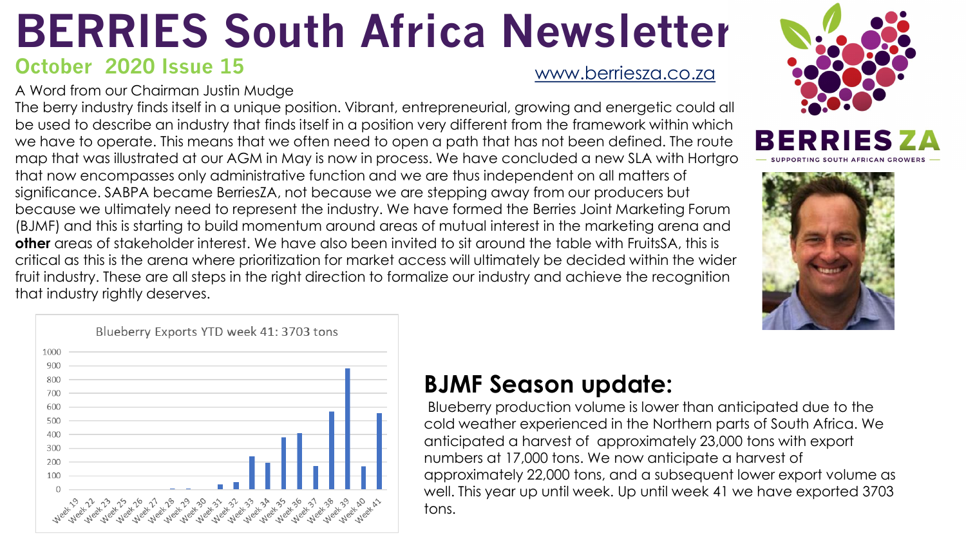## **BERRIES South Africa Newsletter**

## **October 2020 Issue 15**

[www.berriesza.co.za](http://www.berriesza.co.za/)

A Word from our Chairman Justin Mudge

The berry industry finds itself in a unique position. Vibrant, entrepreneurial, growing and energetic could all be used to describe an industry that finds itself in a position very different from the framework within which we have to operate. This means that we often need to open a path that has not been defined. The route map that was illustrated at our AGM in May is now in process. We have concluded a new SLA with Hortgro

that now encompasses only administrative function and we are thus independent on all matters of significance. SABPA became BerriesZA, not because we are stepping away from our producers but because we ultimately need to represent the industry. We have formed the Berries Joint Marketing Forum (BJMF) and this is starting to build momentum around areas of mutual interest in the marketing arena and **other** areas of stakeholder interest. We have also been invited to sit around the table with FruitsSA, this is critical as this is the arena where prioritization for market access will ultimately be decided within the wider fruit industry. These are all steps in the right direction to formalize our industry and achieve the recognition that industry rightly deserves.







## **BJMF Season update:**

Blueberry production volume is lower than anticipated due to the cold weather experienced in the Northern parts of South Africa. We anticipated a harvest of approximately 23,000 tons with export numbers at 17,000 tons. We now anticipate a harvest of approximately 22,000 tons, and a subsequent lower export volume as well. This year up until week. Up until week 41 we have exported 3703 tons.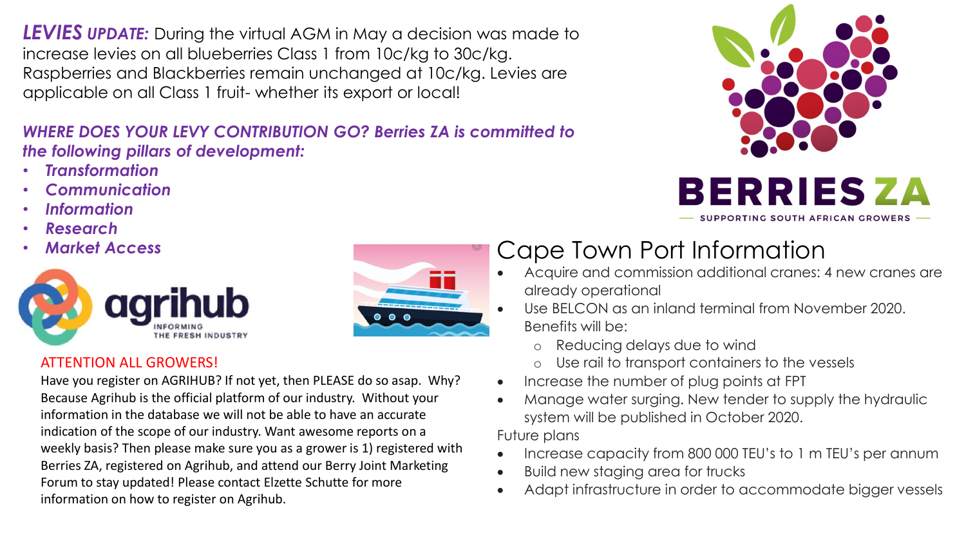*LEVIES UPDATE:* During the virtual AGM in May a decision was made to increase levies on all blueberries Class 1 from 10c/kg to 30c/kg. Raspberries and Blackberries remain unchanged at 10c/kg. Levies are applicable on all Class 1 fruit- whether its export or local!

### *WHERE DOES YOUR LEVY CONTRIBUTION GO? Berries ZA is committed to the following pillars of development:*

- *Transformation*
- *Communication*
- *Information*
- *Research*
- 



# $\bullet$   $\bullet$   $\bullet$

### ATTENTION ALL GROWERS!

Have you register on AGRIHUB? If not yet, then PLEASE do so asap. Why? Because Agrihub is the official platform of our industry. Without your information in the database we will not be able to have an accurate indication of the scope of our industry. Want awesome reports on a weekly basis? Then please make sure you as a grower is 1) registered with Berries ZA, registered on Agrihub, and attend our Berry Joint Marketing Forum to stay updated! Please contact Elzette Schutte for more information on how to register on Agrihub.

## • *Market Access* Cape Town Port Information

- Acquire and commission additional cranes: 4 new cranes are already operational
- Use BELCON as an inland terminal from November 2020. Benefits will be:
	- o Reducing delays due to wind
	- o Use rail to transport containers to the vessels
- Increase the number of plug points at FPT
- Manage water surging. New tender to supply the hydraulic system will be published in October 2020.

Future plans

- Increase capacity from 800 000 TEU's to 1 m TEU's per annum
- Build new staging area for trucks
- Adapt infrastructure in order to accommodate bigger vessels



SUPPORTING SOUTH AFRICAN GROWERS